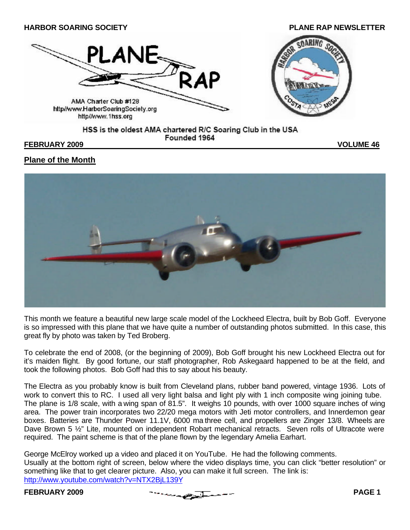

#### HSS is the oldest AMA chartered R/C Soaring Club in the USA Founded 1964

#### **FEBRUARY 2009 VOLUME 46**

# **Plane of the Month**



This month we feature a beautiful new large scale model of the Lockheed Electra, built by Bob Goff. Everyone is so impressed with this plane that we have quite a number of outstanding photos submitted. In this case, this great fly by photo was taken by Ted Broberg.

To celebrate the end of 2008, (or the beginning of 2009), Bob Goff brought his new Lockheed Electra out for it's maiden flight. By good fortune, our staff photographer, Rob Askegaard happened to be at the field, and took the following photos. Bob Goff had this to say about his beauty.

The Electra as you probably know is built from Cleveland plans, rubber band powered, vintage 1936. Lots of work to convert this to RC. I used all very light balsa and light ply with 1 inch composite wing joining tube. The plane is 1/8 scale, with a wing span of 81.5". It weighs 10 pounds, with over 1000 square inches of wing area. The power train incorporates two 22/20 mega motors with Jeti motor controllers, and Innerdemon gear boxes. Batteries are Thunder Power 11.1V, 6000 ma three cell, and propellers are Zinger 13/8. Wheels are Dave Brown 5  $\frac{1}{2}$ " Lite, mounted on independent Robart mechanical retracts. Seven rolls of Ultracote were required. The paint scheme is that of the plane flown by the legendary Amelia Earhart.

George McElroy worked up a video and placed it on YouTube. He had the following comments. Usually at the bottom right of screen, below where the video displays time, you can click "better resolution" or something like that to get clearer picture. Also, you can make it full screen. The link is: http://www.youtube.com/watch?v=NTX2BjL139Y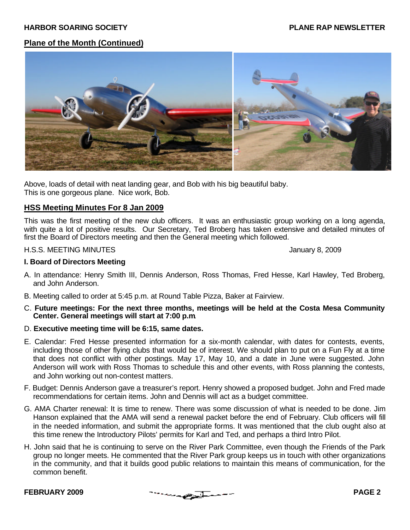# **Plane of the Month (Continued)**



Above, loads of detail with neat landing gear, and Bob with his big beautiful baby. This is one gorgeous plane. Nice work, Bob.

### **HSS Meeting Minutes For 8 Jan 2009**

This was the first meeting of the new club officers. It was an enthusiastic group working on a long agenda, with quite a lot of positive results. Our Secretary, Ted Broberg has taken extensive and detailed minutes of first the Board of Directors meeting and then the General meeting which followed.

#### H.S.S. MEETING MINUTES **History 8, 2009** January 8, 2009

#### **I. Board of Directors Meeting**

- A. In attendance: Henry Smith III, Dennis Anderson, Ross Thomas, Fred Hesse, Karl Hawley, Ted Broberg, and John Anderson.
- B. Meeting called to order at 5:45 p.m. at Round Table Pizza, Baker at Fairview.
- C. **Future meetings: For the next three months, meetings will be held at the Costa Mesa Community Center. General meetings will start at 7:00 p.m**.
- D. **Executive meeting time will be 6:15, same dates.**
- E. Calendar: Fred Hesse presented information for a six-month calendar, with dates for contests, events, including those of other flying clubs that would be of interest. We should plan to put on a Fun Fly at a time that does not conflict with other postings. May 17, May 10, and a date in June were suggested. John Anderson will work with Ross Thomas to schedule this and other events, with Ross planning the contests, and John working out non-contest matters.
- F. Budget: Dennis Anderson gave a treasurer's report. Henry showed a proposed budget. John and Fred made recommendations for certain items. John and Dennis will act as a budget committee.
- G. AMA Charter renewal: It is time to renew. There was some discussion of what is needed to be done. Jim Hanson explained that the AMA will send a renewal packet before the end of February. Club officers will fill in the needed information, and submit the appropriate forms. It was mentioned that the club ought also at this time renew the Introductory Pilots' permits for Karl and Ted, and perhaps a third Intro Pilot.
- H. John said that he is continuing to serve on the River Park Committee, even though the Friends of the Park group no longer meets. He commented that the River Park group keeps us in touch with other organizations in the community, and that it builds good public relations to maintain this means of communication, for the common benefit.

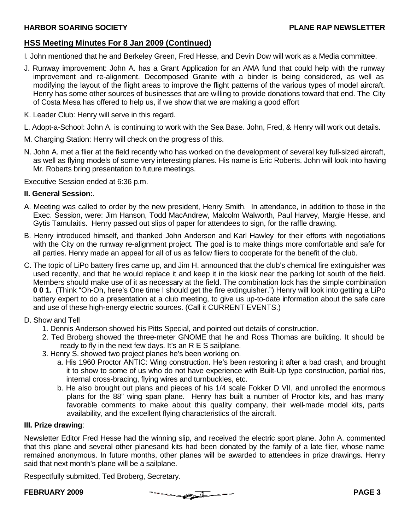# **HSS Meeting Minutes For 8 Jan 2009 (Continued)**

- I. John mentioned that he and Berkeley Green, Fred Hesse, and Devin Dow will work as a Media committee.
- J. Runway improvement: John A. has a Grant Application for an AMA fund that could help with the runway improvement and re-alignment. Decomposed Granite with a binder is being considered, as well as modifying the layout of the flight areas to improve the flight patterns of the various types of model aircraft. Henry has some other sources of businesses that are willing to provide donations toward that end. The City of Costa Mesa has offered to help us, if we show that we are making a good effort
- K. Leader Club: Henry will serve in this regard.
- L. Adopt-a-School: John A. is continuing to work with the Sea Base. John, Fred, & Henry will work out details.
- M. Charging Station: Henry will check on the progress of this.
- N. John A. met a flier at the field recently who has worked on the development of several key full-sized aircraft, as well as flying models of some very interesting planes. His name is Eric Roberts. John will look into having Mr. Roberts bring presentation to future meetings.

Executive Session ended at 6:36 p.m.

#### **II. General Session:**.

- A. Meeting was called to order by the new president, Henry Smith. In attendance, in addition to those in the Exec. Session, were: Jim Hanson, Todd MacAndrew, Malcolm Walworth, Paul Harvey, Margie Hesse, and Gytis Tamulaitis. Henry passed out slips of paper for attendees to sign, for the raffle drawing.
- B. Henry introduced himself, and thanked John Anderson and Karl Hawley for their efforts with negotiations with the City on the runway re-alignment project. The goal is to make things more comfortable and safe for all parties. Henry made an appeal for all of us as fellow fliers to cooperate for the benefit of the club.
- C. The topic of LiPo battery fires came up, and Jim H. announced that the club's chemical fire extinguisher was used recently, and that he would replace it and keep it in the kiosk near the parking lot south of the field. Members should make use of it as necessary at the field. The combination lock has the simple combination **0 0 1.** (Think "Oh-Oh, here's One time I should get the fire extinguisher.") Henry will look into getting a LiPo battery expert to do a presentation at a club meeting, to give us up-to-date information about the safe care and use of these high-energy electric sources. (Call it CURRENT EVENTS.)

### D. Show and Tell

- 1. Dennis Anderson showed his Pitts Special, and pointed out details of construction.
- 2. Ted Broberg showed the three-meter GNOME that he and Ross Thomas are building. It should be ready to fly in the next few days. It's an R E S sailplane.
- 3. Henry S. showed two project planes he's been working on.
	- a. His 1960 Proctor ANTIC: Wing construction. He's been restoring it after a bad crash, and brought it to show to some of us who do not have experience with Built-Up type construction, partial ribs, internal cross-bracing, flying wires and turnbuckles, etc.
	- b. He also brought out plans and pieces of his 1/4 scale Fokker D VII, and unrolled the enormous plans for the 88" wing span plane. Henry has built a number of Proctor kits, and has many favorable comments to make about this quality company, their well-made model kits, parts availability, and the excellent flying characteristics of the aircraft.

### **III. Prize drawing**:

Newsletter Editor Fred Hesse had the winning slip, and received the electric sport plane. John A. commented that this plane and several other planesand kits had been donated by the family of a late flier, whose name remained anonymous. In future months, other planes will be awarded to attendees in prize drawings. Henry said that next month's plane will be a sailplane.

Respectfully submitted, Ted Broberg, Secretary.

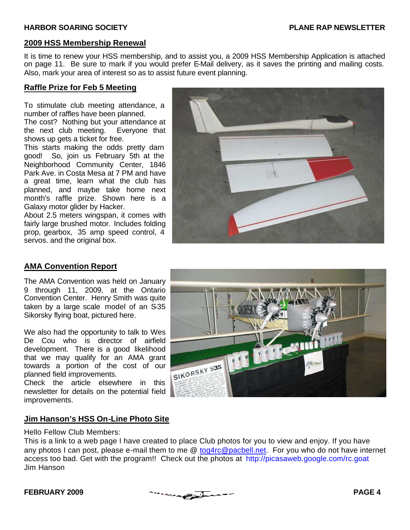# **2009 HSS Membership Renewal**

It is time to renew your HSS membership, and to assist you, a 2009 HSS Membership Application is attached on page 11. Be sure to mark if you would prefer E-Mail delivery, as it saves the printing and mailing costs. Also, mark your area of interest so as to assist future event planning.

## **Raffle Prize for Feb 5 Meeting**

To stimulate club meeting attendance, a number of raffles have been planned.

The cost? Nothing but your attendance at the next club meeting. Everyone that shows up gets a ticket for free.

This starts making the odds pretty darn good! So, join us February 5th at the Neighborhood Community Center, 1846 Park Ave. in Costa Mesa at 7 PM and have a great time, learn what the club has planned, and maybe take home next month's raffle prize. Shown here is a Galaxy motor glider by Hacker.

About 2.5 meters wingspan, it comes with fairly large brushed motor. Includes folding prop, gearbox, 35 amp speed control, 4 servos. and the original box.



# **AMA Convention Report**

The AMA Convention was held on January 9 through 11, 2009, at the Ontario Convention Center. Henry Smith was quite taken by a large scale model of an S-35 Sikorsky flying boat, pictured here.

We also had the opportunity to talk to Wes De Cou who is director of airfield development. There is a good likelihood that we may qualify for an AMA grant towards a portion of the cost of our planned field improvements.

Check the article elsewhere in this newsletter for details on the potential field improvements.



# **Jim Hanson's HSS On-Line Photo Site**

Hello Fellow Club Members:

This is a link to a web page I have created to place Club photos for you to view and enjoy. If you have any photos I can post, please e-mail them to me @ tog4rc@pacbell.net. For you who do not have internet access too bad. Get with the program!! Check out the photos at http://picasaweb.google.com/rc.goat Jim Hanson

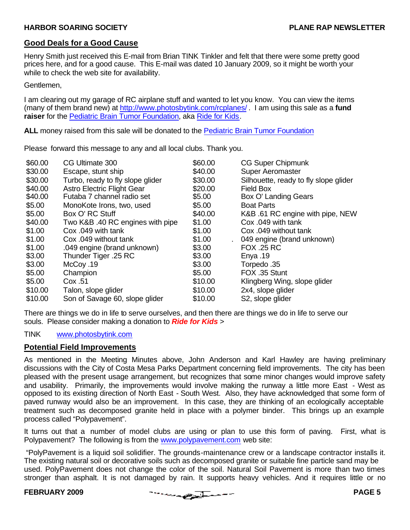### **Good Deals for a Good Cause**

Henry Smith just received this E-mail from Brian TINK Tinkler and felt that there were some pretty good prices here, and for a good cause. This E-mail was dated 10 January 2009, so it might be worth your while to check the web site for availability.

Gentlemen,

I am clearing out my garage of RC airplane stuff and wanted to let you know. You can view the items (many of them brand new) at http://www.photosbytink.com/rcplanes/ . I am using this sale as a **fund raiser** for the Pediatric Brain Tumor Foundation, aka Ride for Kids.

**ALL** money raised from this sale will be donated to the Pediatric Brain Tumor Foundation

Please forward this message to any and all local clubs. Thank you.

| \$60.00 | CG Ultimate 300                   | \$60.00 | <b>CG Super Chipmunk</b>              |
|---------|-----------------------------------|---------|---------------------------------------|
| \$30.00 | Escape, stunt ship                | \$40.00 | <b>Super Aeromaster</b>               |
| \$30.00 | Turbo, ready to fly slope glider  | \$30.00 | Silhouette, ready to fly slope glider |
| \$40.00 | <b>Astro Electric Flight Gear</b> | \$20.00 | <b>Field Box</b>                      |
| \$40.00 | Futaba 7 channel radio set        | \$5.00  | Box O' Landing Gears                  |
| \$5.00  | MonoKote Irons, two, used         | \$5.00  | <b>Boat Parts</b>                     |
| \$5.00  | Box O' RC Stuff                   | \$40.00 | K&B .61 RC engine with pipe, NEW      |
| \$40.00 | Two K&B .40 RC engines with pipe  | \$1.00  | Cox .049 with tank                    |
| \$1.00  | Cox .049 with tank                | \$1.00  | Cox .049 without tank                 |
| \$1.00  | Cox .049 without tank             | \$1.00  | 049 engine (brand unknown)            |
| \$1.00  | .049 engine (brand unknown)       | \$3.00  | <b>FOX .25 RC</b>                     |
| \$3.00  | Thunder Tiger .25 RC              | \$3.00  | Enya $.19$                            |
| \$3.00  | McCoy .19                         | \$3.00  | Torpedo .35                           |
| \$5.00  | Champion                          | \$5.00  | FOX .35 Stunt                         |
| \$5.00  | Cox .51                           | \$10.00 | Klingberg Wing, slope glider          |
| \$10.00 | Talon, slope glider               | \$10.00 | 2x4, slope glider                     |
| \$10.00 | Son of Savage 60, slope glider    | \$10.00 | S2, slope glider                      |
|         |                                   |         |                                       |

There are things we do in life to serve ourselves, and then there are things we do in life to serve our souls. Please consider making a donation to *Ride for Kids* >

### TINK www.photosbytink.com

### **Potential Field Improvements**

As mentioned in the Meeting Minutes above, John Anderson and Karl Hawley are having preliminary discussions with the City of Costa Mesa Parks Department concerning field improvements. The city has been pleased with the present usage arrangement, but recognizes that some minor changes would improve safety and usability. Primarily, the improvements would involve making the runway a little more East - West as opposed to its existing direction of North East - South West. Also, they have acknowledged that some form of paved runway would also be an improvement. In this case, they are thinking of an ecologically acceptable treatment such as decomposed granite held in place with a polymer binder. This brings up an example process called "Polypavement".

It turns out that a number of model clubs are using or plan to use this form of paving. First, what is Polypavement? The following is from the www.polypavement.com web site:

 "PolyPavement is a liquid soil solidifier. The grounds-maintenance crew or a landscape contractor installs it. The existing natural soil or decorative soils such as decomposed granite or suitable fine particle sand may be used. PolyPavement does not change the color of the soil. Natural Soil Pavement is more than two times stronger than asphalt. It is not damaged by rain. It supports heavy vehicles. And it requires little or no

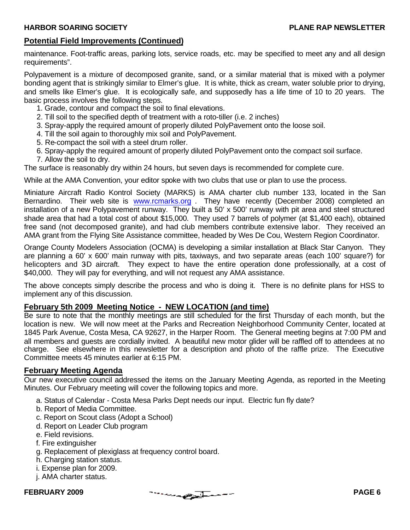# **Potential Field Improvements (Continued)**

maintenance. Foot-traffic areas, parking lots, service roads, etc. may be specified to meet any and all design requirements".

Polypavement is a mixture of decomposed granite, sand, or a similar material that is mixed with a polymer bonding agent that is strikingly similar to Elmer's glue. It is white, thick as cream, water soluble prior to drying, and smells like Elmer's glue. It is ecologically safe, and supposedly has a life time of 10 to 20 years. The basic process involves the following steps.

- 1. Grade, contour and compact the soil to final elevations.
- 2. Till soil to the specified depth of treatment with a roto-tiller (i.e. 2 inches)
- 3. Spray-apply the required amount of properly diluted PolyPavement onto the loose soil.
- 4. Till the soil again to thoroughly mix soil and PolyPavement.
- 5. Re-compact the soil with a steel drum roller.
- 6. Spray-apply the required amount of properly diluted PolyPavement onto the compact soil surface.
- 7. Allow the soil to dry.

The surface is reasonably dry within 24 hours, but seven days is recommended for complete cure.

While at the AMA Convention, your editor spoke with two clubs that use or plan to use the process.

Miniature Aircraft Radio Kontrol Society (MARKS) is AMA charter club number 133, located in the San Bernardino. Their web site is www.rcmarks.org. They have recently (December 2008) completed an installation of a new Polypavement runway. They built a 50' x 500' runway with pit area and steel structured shade area that had a total cost of about \$15,000. They used 7 barrels of polymer (at \$1,400 each), obtained free sand (not decomposed granite), and had club members contribute extensive labor. They received an AMA grant from the Flying Site Assistance committee, headed by Wes De Cou, Western Region Coordinator.

Orange County Modelers Association (OCMA) is developing a similar installation at Black Star Canyon. They are planning a 60' x 600' main runway with pits, taxiways, and two separate areas (each 100' square?) for helicopters and 3D aircraft. They expect to have the entire operation done professionally, at a cost of \$40,000. They will pay for everything, and will not request any AMA assistance.

The above concepts simply describe the process and who is doing it. There is no definite plans for HSS to implement any of this discussion.

### **February 5th 2009 Meeting Notice - NEW LOCATION (and time)**

Be sure to note that the monthly meetings are still scheduled for the first Thursday of each month, but the location is new. We will now meet at the Parks and Recreation Neighborhood Community Center, located at 1845 Park Avenue, Costa Mesa, CA 92627, in the Harper Room. The General meeting begins at 7:00 PM and all members and guests are cordially invited. A beautiful new motor glider will be raffled off to attendees at no charge. See elsewhere in this newsletter for a description and photo of the raffle prize. The Executive Committee meets 45 minutes earlier at 6:15 PM.

### **February Meeting Agenda**

Our new executive council addressed the items on the January Meeting Agenda, as reported in the Meeting Minutes. Our February meeting will cover the following topics and more.

- a. Status of Calendar Costa Mesa Parks Dept needs our input. Electric fun fly date?
- b. Report of Media Committee.
- c. Report on Scout class (Adopt a School)
- d. Report on Leader Club program
- e. Field revisions.
- f. Fire extinguisher
- g. Replacement of plexiglass at frequency control board.
- h. Charging station status.
- i. Expense plan for 2009.
- j. AMA charter status.

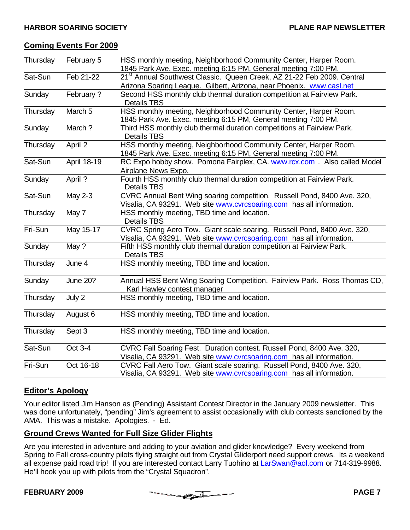## **Coming Events For 2009**

| Thursday | February 5     | HSS monthly meeting, Neighborhood Community Center, Harper Room.                                                                                |  |  |
|----------|----------------|-------------------------------------------------------------------------------------------------------------------------------------------------|--|--|
|          |                | 1845 Park Ave. Exec. meeting 6:15 PM, General meeting 7:00 PM.                                                                                  |  |  |
| Sat-Sun  | Feb 21-22      | 21 <sup>st</sup> Annual Southwest Classic. Queen Creek, AZ 21-22 Feb 2009. Central                                                              |  |  |
|          |                | Arizona Soaring League. Gilbert, Arizona, near Phoenix. www.casl.net                                                                            |  |  |
| Sunday   | February?      | Second HSS monthly club thermal duration competition at Fairview Park.<br><b>Details TBS</b>                                                    |  |  |
| Thursday | March 5        | HSS monthly meeting, Neighborhood Community Center, Harper Room.<br>1845 Park Ave. Exec. meeting 6:15 PM, General meeting 7:00 PM.              |  |  |
| Sunday   | March ?        | Third HSS monthly club thermal duration competitions at Fairview Park.<br><b>Details TBS</b>                                                    |  |  |
| Thursday | April 2        | HSS monthly meeting, Neighborhood Community Center, Harper Room.<br>1845 Park Ave. Exec. meeting 6:15 PM, General meeting 7:00 PM.              |  |  |
| Sat-Sun  | April 18-19    | RC Expo hobby show. Pomona Fairplex, CA. www.rcx.com. Also called Model<br>Airplane News Expo.                                                  |  |  |
| Sunday   | April ?        | Fourth HSS monthly club thermal duration competition at Fairview Park.<br><b>Details TBS</b>                                                    |  |  |
| Sat-Sun  | <b>May 2-3</b> | CVRC Annual Bent Wing soaring competition. Russell Pond, 8400 Ave. 320,<br>Visalia, CA 93291. Web site www.cvrcsoaring.com has all information. |  |  |
| Thursday | May 7          | HSS monthly meeting, TBD time and location.<br><b>Details TBS</b>                                                                               |  |  |
| Fri-Sun  | May 15-17      | CVRC Spring Aero Tow. Giant scale soaring. Russell Pond, 8400 Ave. 320,<br>Visalia, CA 93291. Web site www.cvrcsoaring.com has all information. |  |  |
| Sunday   | May ?          | Fifth HSS monthly club thermal duration competition at Fairview Park.<br><b>Details TBS</b>                                                     |  |  |
| Thursday | June 4         | HSS monthly meeting, TBD time and location.                                                                                                     |  |  |
| Sunday   | June 20?       | Annual HSS Bent Wing Soaring Competition. Fairview Park. Ross Thomas CD,<br>Karl Hawley contest manager                                         |  |  |
| Thursday | July 2         | HSS monthly meeting, TBD time and location.                                                                                                     |  |  |
| Thursday | August 6       | HSS monthly meeting, TBD time and location.                                                                                                     |  |  |
| Thursday | Sept 3         | HSS monthly meeting, TBD time and location.                                                                                                     |  |  |
| Sat-Sun  | Oct 3-4        | CVRC Fall Soaring Fest. Duration contest. Russell Pond, 8400 Ave. 320,<br>Visalia, CA 93291. Web site www.cvrcsoaring.com has all information.  |  |  |
| Fri-Sun  | Oct 16-18      | CVRC Fall Aero Tow. Giant scale soaring. Russell Pond, 8400 Ave. 320,<br>Visalia, CA 93291. Web site www.cvrcsoaring.com has all information.   |  |  |

# **Editor's Apology**

Your editor listed Jim Hanson as (Pending) Assistant Contest Director in the January 2009 newsletter. This was done unfortunately, "pending" Jim's agreement to assist occasionally with club contests sanctioned by the AMA. This was a mistake. Apologies. - Ed.

# **Ground Crews Wanted for Full Size Glider Flights**

Are you interested in adventure and adding to your aviation and glider knowledge? Every weekend from Spring to Fall cross-country pilots flying straight out from Crystal Gliderport need support crews. Its a weekend all expense paid road trip! If you are interested contact Larry Tuohino at LarSwan@aol.com or 714-319-9988. He'll hook you up with pilots from the "Crystal Squadron".

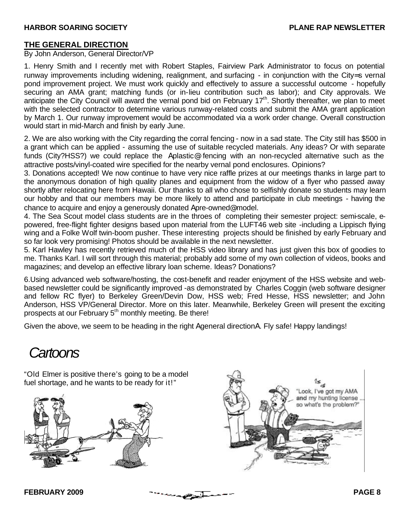### **THE GENERAL DIRECTION**

By John Anderson, General Director/VP

1. Henry Smith and I recently met with Robert Staples, Fairview Park Administrator to focus on potential runway improvements including widening, realignment, and surfacing - in conjunction with the City=s vernal pond improvement project. We must work quickly and effectively to assure a successful outcome - hopefully securing an AMA grant; matching funds (or in-lieu contribution such as labor); and City approvals. We anticipate the City Council will award the vernal pond bid on February 17<sup>th</sup>. Shortly thereafter, we plan to meet with the selected contractor to determine various runway-related costs and submit the AMA grant application by March 1. Our runway improvement would be accommodated via a work order change. Overall construction would start in mid-March and finish by early June.

2. We are also working with the City regarding the corral fencing - now in a sad state. The City still has \$500 in a grant which can be applied - assuming the use of suitable recycled materials. Any ideas? Or with separate funds (City?HSS?) we could replace the Aplastic@ fencing with an non-recycled alternative such as the attractive posts/vinyl-coated wire specified for the nearby vernal pond enclosures. Opinions?

3. Donations accepted! We now continue to have very nice raffle prizes at our meetings thanks in large part to the anonymous donation of high quality planes and equipment from the widow of a flyer who passed away shortly after relocating here from Hawaii. Our thanks to all who chose to selfishly donate so students may learn our hobby and that our members may be more likely to attend and participate in club meetings - having the chance to acquire and enjoy a generously donated Apre-owned@ model.

4. The Sea Scout model class students are in the throes of completing their semester project: semi-scale, epowered, free-flight fighter designs based upon material from the LUFT46 web site -including a Lippisch flying wing and a Folke Wolf twin-boom pusher. These interesting projects should be finished by early February and so far look very promising! Photos should be available in the next newsletter.

5. Karl Hawley has recently retrieved much of the HSS video library and has just given this box of goodies to me. Thanks Karl. I will sort through this material; probably add some of my own collection of videos, books and magazines; and develop an effective library loan scheme. Ideas? Donations?

6.Using advanced web software/hosting, the cost-benefit and reader enjoyment of the HSS website and webbased newsletter could be significantly improved -as demonstrated by Charles Coggin (web software designer and fellow RC flyer) to Berkeley Green/Devin Dow, HSS web; Fred Hesse, HSS newsletter; and John Anderson, HSS VP/General Director. More on this later. Meanwhile, Berkeley Green will present the exciting prospects at our February 5<sup>th</sup> monthly meeting. Be there!

Given the above, we seem to be heading in the right Ageneral directionA. Fly safe! Happy landings!

# *Cartoons*

"Old Elmer is positive there's going to be a model fuel shortage, and he wants to be ready for it!"





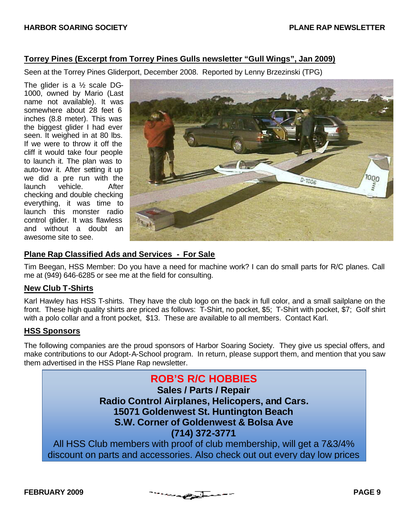# **Torrey Pines (Excerpt from Torrey Pines Gulls newsletter "Gull Wings", Jan 2009)**

Seen at the Torrey Pines Gliderport, December 2008. Reported by Lenny Brzezinski (TPG)

The glider is a ½ scale DG-1000, owned by Mario (Last name not available). It was somewhere about 28 feet 6 inches (8.8 meter). This was the biggest glider I had ever seen. It weighed in at 80 lbs. If we were to throw it off the cliff it would take four people to launch it. The plan was to auto-tow it. After setting it up we did a pre run with the launch vehicle. After checking and double checking everything, it was time to launch this monster radio control glider. It was flawless and without a doubt an awesome site to see.



# **Plane Rap Classified Ads and Services - For Sale**

Tim Beegan, HSS Member: Do you have a need for machine work? I can do small parts for R/C planes. Call me at (949) 646-6285 or see me at the field for consulting.

# **New Club T-Shirts**

Karl Hawley has HSS T-shirts. They have the club logo on the back in full color, and a small sailplane on the front. These high quality shirts are priced as follows: T-Shirt, no pocket, \$5; T-Shirt with pocket, \$7; Golf shirt with a polo collar and a front pocket, \$13. These are available to all members. Contact Karl.

# **HSS Sponsors**

The following companies are the proud sponsors of Harbor Soaring Society. They give us special offers, and make contributions to our Adopt-A-School program. In return, please support them, and mention that you saw them advertised in the HSS Plane Rap newsletter.

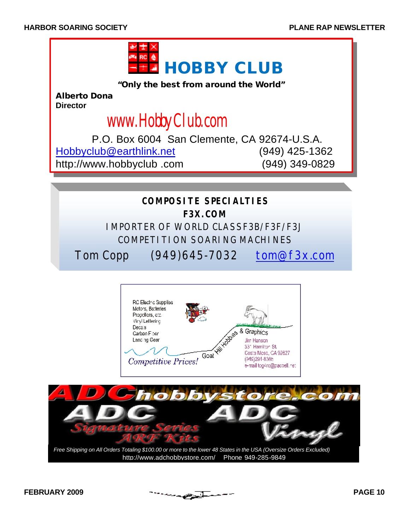

**"Only the best from around the World"**

**Alberto Dona Director** 

# www.HobbyClub.com

 P.O. Box 6004 San Clemente, CA 92674-U.S.A. Hobbyclub@earthlink.net (949) 425-1362 http://www.hobbyclub .com (949) 349-0829





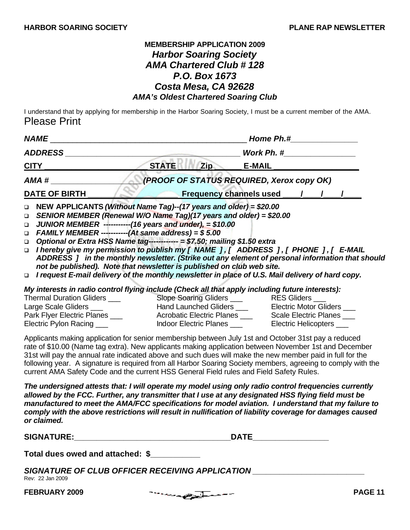# **MEMBERSHIP APPLICATION 2009** *Harbor Soaring Society AMA Chartered Club # 128 P.O. Box 1673 Costa Mesa, CA 92628 AMA's Oldest Chartered Soaring Club*

I understand that by applying for membership in the Harbor Soaring Society, I must be a current member of the AMA. Please Print

| <b>NAME</b>                                                                                                                                                                                                                                                                                                                                                                                                                                                                                                                                                                                                                                                                                                                                                                              |              |     | Home Ph.#                                                                                                                              |  |  |  |
|------------------------------------------------------------------------------------------------------------------------------------------------------------------------------------------------------------------------------------------------------------------------------------------------------------------------------------------------------------------------------------------------------------------------------------------------------------------------------------------------------------------------------------------------------------------------------------------------------------------------------------------------------------------------------------------------------------------------------------------------------------------------------------------|--------------|-----|----------------------------------------------------------------------------------------------------------------------------------------|--|--|--|
| <b>ADDRESS</b>                                                                                                                                                                                                                                                                                                                                                                                                                                                                                                                                                                                                                                                                                                                                                                           |              |     | Work Ph. #                                                                                                                             |  |  |  |
| <u>CITY</u>                                                                                                                                                                                                                                                                                                                                                                                                                                                                                                                                                                                                                                                                                                                                                                              | <b>STATE</b> | Zip | <b>E-MAIL</b>                                                                                                                          |  |  |  |
| AMA #                                                                                                                                                                                                                                                                                                                                                                                                                                                                                                                                                                                                                                                                                                                                                                                    |              |     | (PROOF OF STATUS REQUIRED, Xerox copy OK)                                                                                              |  |  |  |
| <b>DATE OF BIRTH</b>                                                                                                                                                                                                                                                                                                                                                                                                                                                                                                                                                                                                                                                                                                                                                                     |              |     |                                                                                                                                        |  |  |  |
| NEW APPLICANTS (Without Name Tag)--(17 years and older) = \$20.00<br>$\Box$<br>SENIOR MEMBER (Renewal W/O Name Tag)(17 years and older) = \$20.00<br>$\Box$<br>JUNIOR MEMBER ------------(16 years and under), = \$10.00<br>$\Box$<br>FAMILY MEMBER -----------(At same address) = $$5.00$<br>$\Box$<br>Optional or Extra HSS Name tag----------- = \$7.50; mailing \$1.50 extra<br>$\Box$<br>I hereby give my permission to publish my [ NAME ], [ ADDRESS ], [ PHONE ], [ E-MAIL<br>$\Box$<br>ADDRESS 1 in the monthly newsletter. (Strike out any element of personal information that should<br>not be published). Note that newsletter is published on club web site.<br>I request E-mail delivery of the monthly newsletter in place of U.S. Mail delivery of hard copy.<br>$\Box$ |              |     |                                                                                                                                        |  |  |  |
| My interests in radio control flying include (Check all that apply including future interests):<br>Thermal Duration Gliders ___<br>Large Scale Gliders ___<br>Park Flyer Electric Planes<br>Electric Pylon Racing ___<br>Applicants making application for senior membership between July 1st and October 31st pay a reduced                                                                                                                                                                                                                                                                                                                                                                                                                                                             |              |     | Hand Launched Gliders ______________ Electric Motor Gliders ____<br>Indoor Electric Planes ________________ Electric Helicopters _____ |  |  |  |
| rate of \$10.00 (Name tag extra). New applicants making application between November 1st and December<br>31st will pay the annual rate indicated above and such dues will make the new member paid in full for the<br>following year. A signature is required from all Harbor Soaring Society members, agreeing to comply with the<br>current AMA Safety Code and the current HSS General Field rules and Field Safety Rules.                                                                                                                                                                                                                                                                                                                                                            |              |     |                                                                                                                                        |  |  |  |

*The undersigned attests that: I will operate my model using only radio control frequencies currently allowed by the FCC. Further, any transmitter that I use at any designated HSS flying field must be manufactured to meet the AMA/FCC specifications for model aviation. I understand that my failure to comply with the above restrictions will result in nullification of liability coverage for damages caused or claimed.*

| <b>SIGNATURE:</b> the contract of the contract of the contract of the contract of the contract of the contract of the contract of the contract of the contract of the contract of the contract of the contract of the contract of t | <b>DATE</b>                                     |         |
|-------------------------------------------------------------------------------------------------------------------------------------------------------------------------------------------------------------------------------------|-------------------------------------------------|---------|
| Total dues owed and attached: \$                                                                                                                                                                                                    |                                                 |         |
| Rev: 22 Jan 2009                                                                                                                                                                                                                    | SIGNATURE OF CLUB OFFICER RECEIVING APPLICATION |         |
| <b>FEBRUARY 2009</b>                                                                                                                                                                                                                | والمستحصل والمستقص والمحاملات والمتنا           | PAGE 11 |